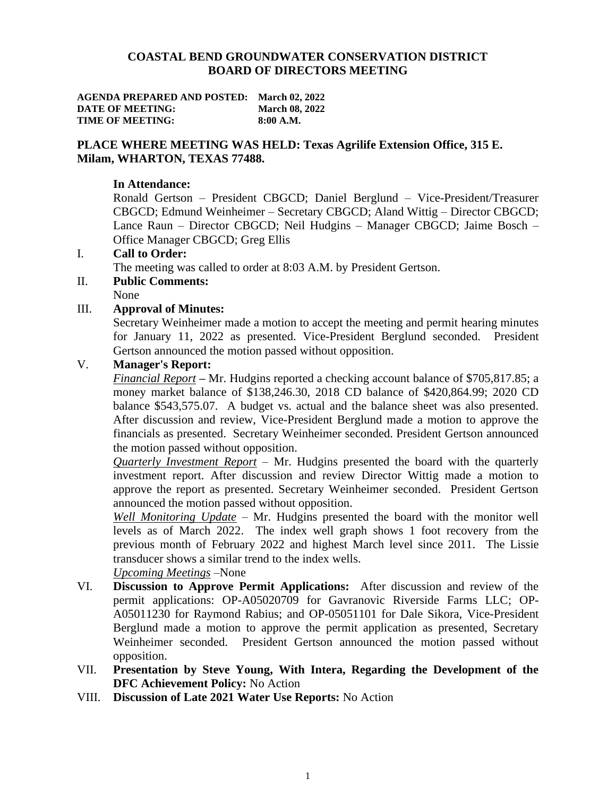#### **COASTAL BEND GROUNDWATER CONSERVATION DISTRICT BOARD OF DIRECTORS MEETING**

| <b>AGENDA PREPARED AND POSTED: March 02, 2022</b> |                       |
|---------------------------------------------------|-----------------------|
| DATE OF MEETING:                                  | <b>March 08, 2022</b> |
| TIME OF MEETING:                                  | 8:00 A.M.             |

# **PLACE WHERE MEETING WAS HELD: Texas Agrilife Extension Office, 315 E. Milam, WHARTON, TEXAS 77488.**

### **In Attendance:**

Ronald Gertson – President CBGCD; Daniel Berglund – Vice-President/Treasurer CBGCD; Edmund Weinheimer – Secretary CBGCD; Aland Wittig – Director CBGCD; Lance Raun – Director CBGCD; Neil Hudgins – Manager CBGCD; Jaime Bosch – Office Manager CBGCD; Greg Ellis

### I. **Call to Order:**

The meeting was called to order at 8:03 A.M. by President Gertson.

# II. **Public Comments:**

# None

### III. **Approval of Minutes:**

Secretary Weinheimer made a motion to accept the meeting and permit hearing minutes for January 11, 2022 as presented. Vice-President Berglund seconded. President Gertson announced the motion passed without opposition.

### V. **Manager's Report:**

*Financial Report* **–** Mr. Hudgins reported a checking account balance of \$705,817.85; a money market balance of \$138,246.30, 2018 CD balance of \$420,864.99; 2020 CD balance \$543,575.07. A budget vs. actual and the balance sheet was also presented. After discussion and review, Vice-President Berglund made a motion to approve the financials as presented. Secretary Weinheimer seconded. President Gertson announced the motion passed without opposition.

*Quarterly Investment Report* – Mr. Hudgins presented the board with the quarterly investment report. After discussion and review Director Wittig made a motion to approve the report as presented. Secretary Weinheimer seconded. President Gertson announced the motion passed without opposition.

*Well Monitoring Update* – Mr. Hudgins presented the board with the monitor well levels as of March 2022. The index well graph shows 1 foot recovery from the previous month of February 2022 and highest March level since 2011. The Lissie transducer shows a similar trend to the index wells.

*Upcoming Meetings* –None

- VI. **Discussion to Approve Permit Applications:** After discussion and review of the permit applications: OP-A05020709 for Gavranovic Riverside Farms LLC; OP-A05011230 for Raymond Rabius; and OP-05051101 for Dale Sikora, Vice-President Berglund made a motion to approve the permit application as presented, Secretary Weinheimer seconded. President Gertson announced the motion passed without opposition.
- VII. **Presentation by Steve Young, With Intera, Regarding the Development of the DFC Achievement Policy:** No Action
- VIII. **Discussion of Late 2021 Water Use Reports:** No Action